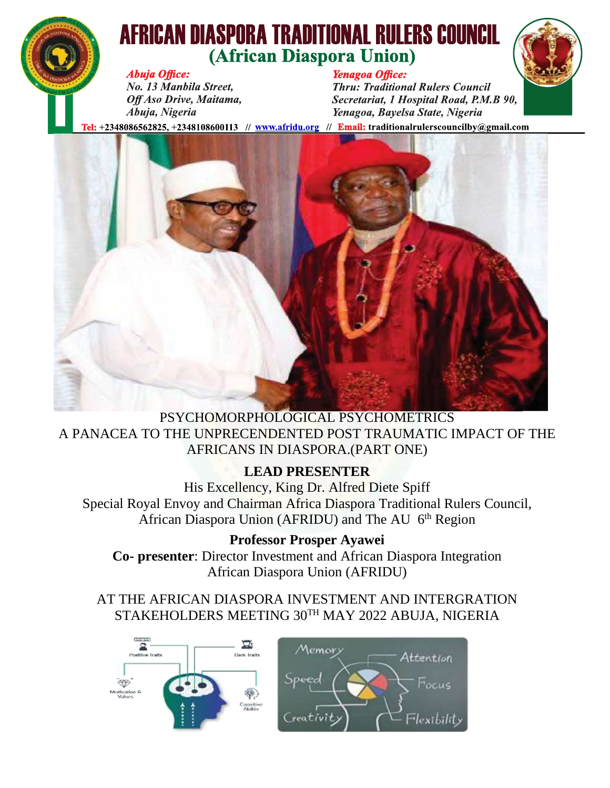

# **AFRICAN DIASPORA TRADITIONAL RULERS COUNCIL** (African Diaspora Union)



**Abuja Office:** No. 13 Manbila Street, Off Aso Drive, Maitama, Abuja, Nigeria

### Yenagoa Office:

**Thru: Traditional Rulers Council** Secretariat, 1 Hospital Road, P.M.B 90, Yenagoa, Bayelsa State, Nigeria

[el: +2348086562825, +2348108600113 // www.afridu.org // Email: traditionalrulerscouncilby@gmail.com



#### PSYCHOMORPHOLOGICAL PSYCHOMETRICS A PANACEA TO THE UNPRECENDENTED POST TRAUMATIC IMPACT OF THE AFRICANS IN DIASPORA.(PART ONE)

### **LEAD PRESENTER**

His Excellency, King Dr. Alfred Diete Spiff Special Royal Envoy and Chairman Africa Diaspora Traditional Rulers Council, African Diaspora Union (AFRIDU) and The AU 6<sup>th</sup> Region

**Professor Prosper Ayawei**

**Co- presenter**: Director Investment and African Diaspora Integration African Diaspora Union (AFRIDU)

AT THE AFRICAN DIASPORA INVESTMENT AND INTERGRATION STAKEHOLDERS MEETING 30TH MAY 2022 ABUJA, NIGERIA

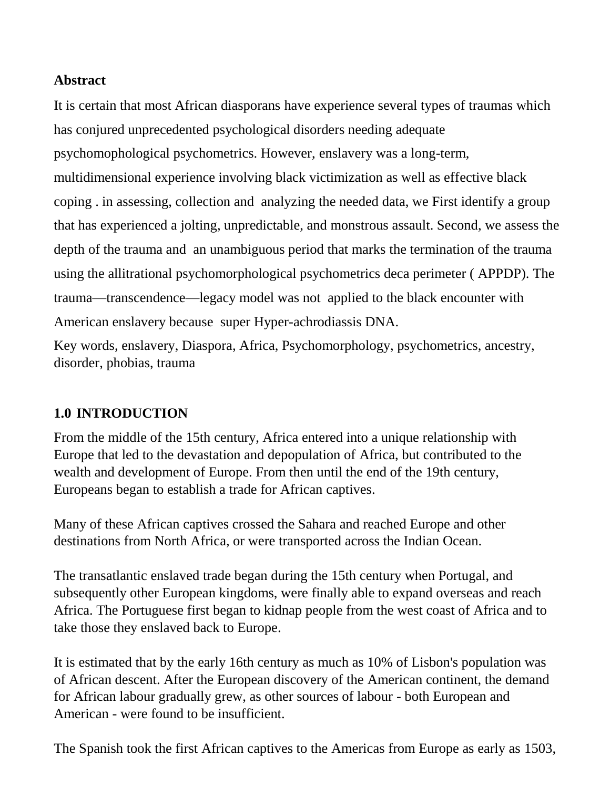#### **Abstract**

It is certain that most African diasporans have experience several types of traumas which has conjured unprecedented psychological disorders needing adequate psychomophological psychometrics. However, enslavery was a long-term, multidimensional experience involving black victimization as well as effective black coping . in assessing, collection and analyzing the needed data, we First identify a group that has experienced a jolting, unpredictable, and monstrous assault. Second, we assess the depth of the trauma and an unambiguous period that marks the termination of the trauma using the allitrational psychomorphological psychometrics deca perimeter ( APPDP). The trauma—transcendence—legacy model was not applied to the black encounter with American enslavery because super Hyper-achrodiassis DNA.

Key words, enslavery, Diaspora, Africa, Psychomorphology, psychometrics, ancestry, disorder, phobias, trauma

#### **1.0 INTRODUCTION**

From the middle of the 15th century, Africa entered into a unique relationship with Europe that led to the devastation and depopulation of Africa, but contributed to the wealth and development of Europe. From then until the end of the 19th century, Europeans began to establish a trade for African captives.

Many of these African captives crossed the Sahara and reached Europe and other destinations from North Africa, or were transported across the Indian Ocean.

The transatlantic enslaved trade began during the 15th century when Portugal, and subsequently other European kingdoms, were finally able to expand overseas and reach Africa. The Portuguese first began to kidnap people from the west coast of Africa and to take those they enslaved back to Europe.

It is estimated that by the early 16th century as much as 10% of Lisbon's population was of African descent. After the European discovery of the American continent, the demand for African labour gradually grew, as other sources of labour - both European and American - were found to be insufficient.

The Spanish took the first African captives to the Americas from Europe as early as [1503,](tel:1503)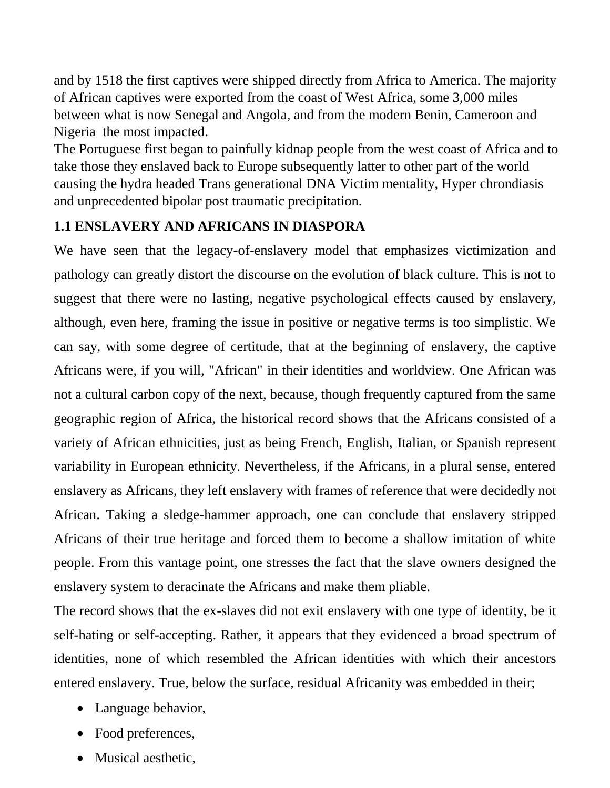and by [1518](tel:1518) the first captives were shipped directly from Africa to America. The majority of African captives were exported from the coast of West Africa, some 3[,000](tel:000) miles between what is now Senegal and Angola, and from the modern Benin, Cameroon and Nigeria the most impacted.

The Portuguese first began to painfully kidnap people from the west coast of Africa and to take those they enslaved back to Europe subsequently latter to other part of the world causing the hydra headed Trans generational DNA Victim mentality, Hyper chrondiasis and unprecedented bipolar post traumatic precipitation.

# **1.1 ENSLAVERY AND AFRICANS IN DIASPORA**

We have seen that the legacy-of-enslavery model that emphasizes victimization and pathology can greatly distort the discourse on the evolution of black culture. This is not to suggest that there were no lasting, negative psychological effects caused by enslavery, although, even here, framing the issue in positive or negative terms is too simplistic. We can say, with some degree of certitude, that at the beginning of enslavery, the captive Africans were, if you will, "African" in their identities and worldview. One African was not a cultural carbon copy of the next, because, though frequently captured from the same geographic region of Africa, the historical record shows that the Africans consisted of a variety of African ethnicities, just as being French, English, Italian, or Spanish represent variability in European ethnicity. Nevertheless, if the Africans, in a plural sense, entered enslavery as Africans, they left enslavery with frames of reference that were decidedly not African. Taking a sledge-hammer approach, one can conclude that enslavery stripped Africans of their true heritage and forced them to become a shallow imitation of white people. From this vantage point, one stresses the fact that the slave owners designed the enslavery system to deracinate the Africans and make them pliable.

The record shows that the ex-slaves did not exit enslavery with one type of identity, be it self-hating or self-accepting. Rather, it appears that they evidenced a broad spectrum of identities, none of which resembled the African identities with which their ancestors entered enslavery. True, below the surface, residual Africanity was embedded in their;

- Language behavior,
- Food preferences,
- Musical aesthetic.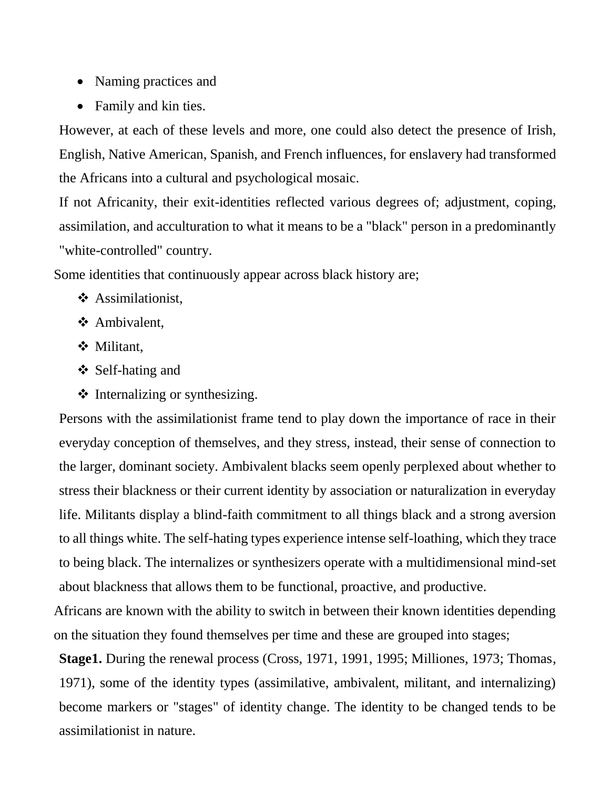- Naming practices and
- Family and kin ties.

However, at each of these levels and more, one could also detect the presence of Irish, English, Native American, Spanish, and French influences, for enslavery had transformed the Africans into a cultural and psychological mosaic.

If not Africanity, their exit-identities reflected various degrees of; adjustment, coping, assimilation, and acculturation to what it means to be a "black" person in a predominantly "white-controlled" country.

Some identities that continuously appear across black history are;

- ❖ Assimilationist,
- ❖ Ambivalent,
- ❖ Militant,
- ❖ Self-hating and
- ❖ Internalizing or synthesizing.

Persons with the assimilationist frame tend to play down the importance of race in their everyday conception of themselves, and they stress, instead, their sense of connection to the larger, dominant society. Ambivalent blacks seem openly perplexed about whether to stress their blackness or their current identity by association or naturalization in everyday life. Militants display a blind-faith commitment to all things black and a strong aversion to all things white. The self-hating types experience intense self-loathing, which they trace to being black. The internalizes or synthesizers operate with a multidimensional mind-set about blackness that allows them to be functional, proactive, and productive.

Africans are known with the ability to switch in between their known identities depending on the situation they found themselves per time and these are grouped into stages;

**Stage1.** During the renewal process (Cross, 1971, 1991, 1995; Milliones, 1973; Thomas, 1971), some of the identity types (assimilative, ambivalent, militant, and internalizing) become markers or "stages" of identity change. The identity to be changed tends to be assimilationist in nature.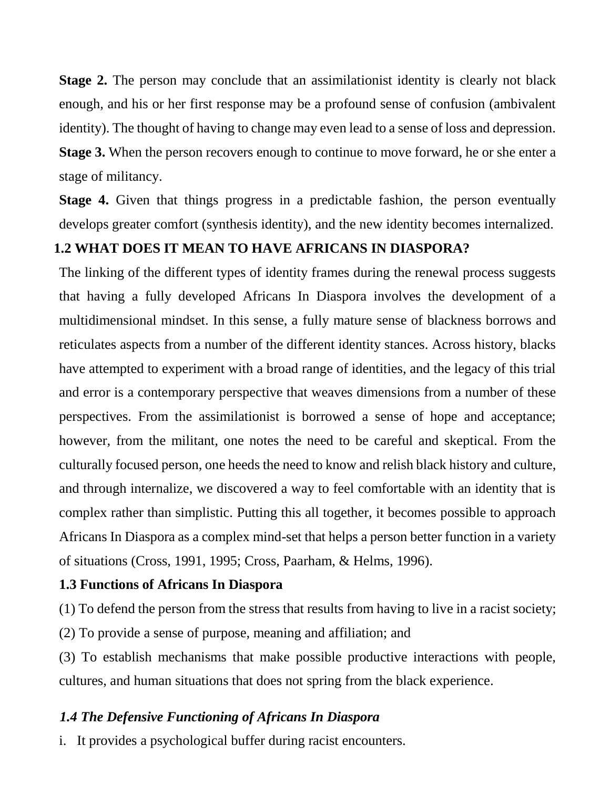**Stage 2.** The person may conclude that an assimilationist identity is clearly not black enough, and his or her first response may be a profound sense of confusion (ambivalent identity). The thought of having to change may even lead to a sense of loss and depression. **Stage 3.** When the person recovers enough to continue to move forward, he or she enter a stage of militancy.

**Stage 4.** Given that things progress in a predictable fashion, the person eventually develops greater comfort (synthesis identity), and the new identity becomes internalized.

#### **1.2 WHAT DOES IT MEAN TO HAVE AFRICANS IN DIASPORA?**

The linking of the different types of identity frames during the renewal process suggests that having a fully developed Africans In Diaspora involves the development of a multidimensional mindset. In this sense, a fully mature sense of blackness borrows and reticulates aspects from a number of the different identity stances. Across history, blacks have attempted to experiment with a broad range of identities, and the legacy of this trial and error is a contemporary perspective that weaves dimensions from a number of these perspectives. From the assimilationist is borrowed a sense of hope and acceptance; however, from the militant, one notes the need to be careful and skeptical. From the culturally focused person, one heeds the need to know and relish black history and culture, and through internalize, we discovered a way to feel comfortable with an identity that is complex rather than simplistic. Putting this all together, it becomes possible to approach Africans In Diaspora as a complex mind-set that helps a person better function in a variety of situations (Cross, 1991, 1995; Cross, Paarham, & Helms, 1996).

#### **1.3 Functions of Africans In Diaspora**

(1) To defend the person from the stress that results from having to live in a racist society;

(2) To provide a sense of purpose, meaning and affiliation; and

(3) To establish mechanisms that make possible productive interactions with people, cultures, and human situations that does not spring from the black experience.

#### *1.4 The Defensive Functioning of Africans In Diaspora*

i. It provides a psychological buffer during racist encounters.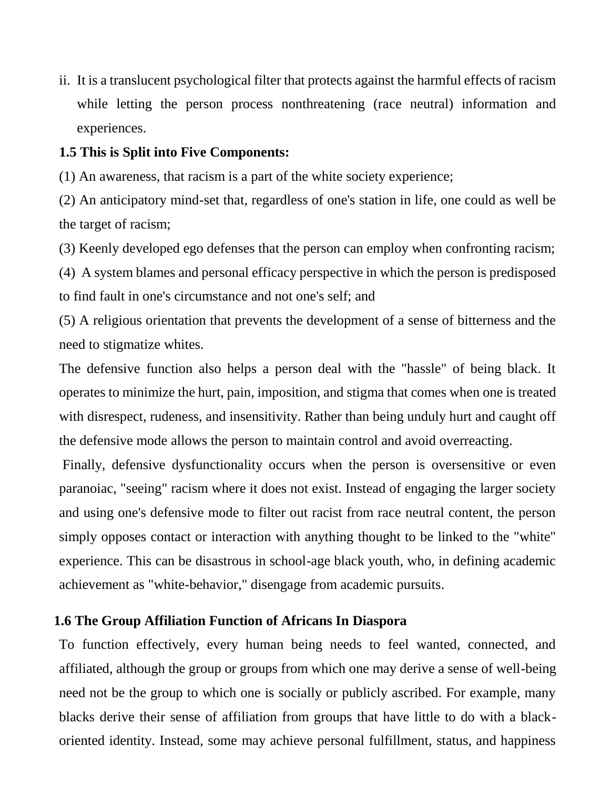ii. It is a translucent psychological filter that protects against the harmful effects of racism while letting the person process nonthreatening (race neutral) information and experiences.

#### **1.5 This is Split into Five Components:**

(1) An awareness, that racism is a part of the white society experience;

(2) An anticipatory mind-set that, regardless of one's station in life, one could as well be the target of racism;

(3) Keenly developed ego defenses that the person can employ when confronting racism;

(4) A system blames and personal efficacy perspective in which the person is predisposed to find fault in one's circumstance and not one's self; and

(5) A religious orientation that prevents the development of a sense of bitterness and the need to stigmatize whites.

The defensive function also helps a person deal with the "hassle" of being black. It operates to minimize the hurt, pain, imposition, and stigma that comes when one is treated with disrespect, rudeness, and insensitivity. Rather than being unduly hurt and caught off the defensive mode allows the person to maintain control and avoid overreacting.

Finally, defensive dysfunctionality occurs when the person is oversensitive or even paranoiac, "seeing" racism where it does not exist. Instead of engaging the larger society and using one's defensive mode to filter out racist from race neutral content, the person simply opposes contact or interaction with anything thought to be linked to the "white" experience. This can be disastrous in school-age black youth, who, in defining academic achievement as "white-behavior," disengage from academic pursuits.

#### **1.6 The Group Affiliation Function of Africans In Diaspora**

To function effectively, every human being needs to feel wanted, connected, and affiliated, although the group or groups from which one may derive a sense of well-being need not be the group to which one is socially or publicly ascribed. For example, many blacks derive their sense of affiliation from groups that have little to do with a blackoriented identity. Instead, some may achieve personal fulfillment, status, and happiness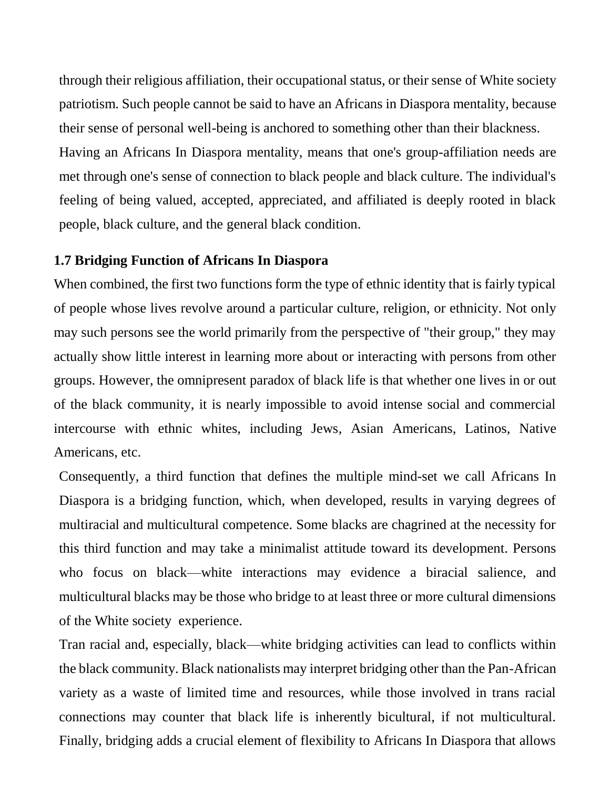through their religious affiliation, their occupational status, or their sense of White society patriotism. Such people cannot be said to have an Africans in Diaspora mentality, because their sense of personal well-being is anchored to something other than their blackness. Having an Africans In Diaspora mentality, means that one's group-affiliation needs are met through one's sense of connection to black people and black culture. The individual's feeling of being valued, accepted, appreciated, and affiliated is deeply rooted in black people, black culture, and the general black condition.

#### **1.7 Bridging Function of Africans In Diaspora**

When combined, the first two functions form the type of ethnic identity that is fairly typical of people whose lives revolve around a particular culture, religion, or ethnicity. Not only may such persons see the world primarily from the perspective of "their group," they may actually show little interest in learning more about or interacting with persons from other groups. However, the omnipresent paradox of black life is that whether one lives in or out of the black community, it is nearly impossible to avoid intense social and commercial intercourse with ethnic whites, including Jews, Asian Americans, Latinos, Native Americans, etc.

Consequently, a third function that defines the multiple mind-set we call Africans In Diaspora is a bridging function, which, when developed, results in varying degrees of multiracial and multicultural competence. Some blacks are chagrined at the necessity for this third function and may take a minimalist attitude toward its development. Persons who focus on black—white interactions may evidence a biracial salience, and multicultural blacks may be those who bridge to at least three or more cultural dimensions of the White society experience.

Tran racial and, especially, black—white bridging activities can lead to conflicts within the black community. Black nationalists may interpret bridging other than the Pan-African variety as a waste of limited time and resources, while those involved in trans racial connections may counter that black life is inherently bicultural, if not multicultural. Finally, bridging adds a crucial element of flexibility to Africans In Diaspora that allows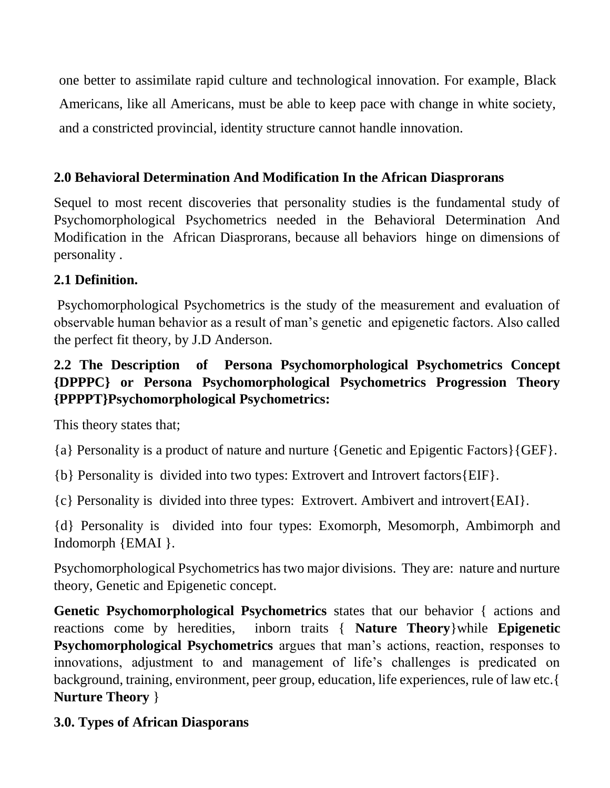one better to assimilate rapid culture and technological innovation. For example, Black Americans, like all Americans, must be able to keep pace with change in white society, and a constricted provincial, identity structure cannot handle innovation.

### **2.0 Behavioral Determination And Modification In the African Diasprorans**

Sequel to most recent discoveries that personality studies is the fundamental study of Psychomorphological Psychometrics needed in the Behavioral Determination And Modification in the African Diasprorans, because all behaviors hinge on dimensions of personality .

### **2.1 Definition.**

Psychomorphological Psychometrics is the study of the measurement and evaluation of observable human behavior as a result of man's genetic and epigenetic factors. Also called the perfect fit theory, by J.D Anderson.

### **2.2 The Description of Persona Psychomorphological Psychometrics Concept {DPPPC} or Persona Psychomorphological Psychometrics Progression Theory {PPPPT}Psychomorphological Psychometrics:**

This theory states that;

{a} Personality is a product of nature and nurture {Genetic and Epigentic Factors}{GEF}.

{b} Personality is divided into two types: Extrovert and Introvert factors{EIF}.

{c} Personality is divided into three types: Extrovert. Ambivert and introvert{EAI}.

{d} Personality is divided into four types: Exomorph, Mesomorph, Ambimorph and Indomorph {EMAI }.

Psychomorphological Psychometrics has two major divisions. They are: nature and nurture theory, Genetic and Epigenetic concept.

**Genetic Psychomorphological Psychometrics** states that our behavior { actions and reactions come by heredities, inborn traits { **Nature Theory**}while **Epigenetic Psychomorphological Psychometrics** argues that man's actions, reaction, responses to innovations, adjustment to and management of life's challenges is predicated on background, training, environment, peer group, education, life experiences, rule of law etc.{ **Nurture Theory** }

### **3.0. Types of African Diasporans**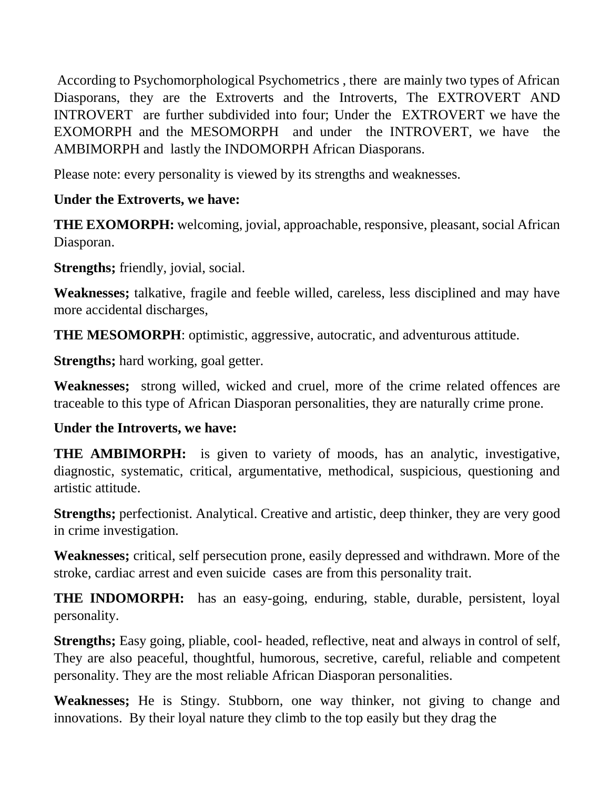According to Psychomorphological Psychometrics , there are mainly two types of African Diasporans, they are the Extroverts and the Introverts, The EXTROVERT AND INTROVERT are further subdivided into four; Under the EXTROVERT we have the EXOMORPH and the MESOMORPH and under the INTROVERT, we have the AMBIMORPH and lastly the INDOMORPH African Diasporans.

Please note: every personality is viewed by its strengths and weaknesses.

# **Under the Extroverts, we have:**

**THE EXOMORPH:** welcoming, jovial, approachable, responsive, pleasant, social African Diasporan.

**Strengths;** friendly, jovial, social.

**Weaknesses;** talkative, fragile and feeble willed, careless, less disciplined and may have more accidental discharges,

**THE MESOMORPH**: optimistic, aggressive, autocratic, and adventurous attitude.

**Strengths;** hard working, goal getter.

**Weaknesses;** strong willed, wicked and cruel, more of the crime related offences are traceable to this type of African Diasporan personalities, they are naturally crime prone.

#### **Under the Introverts, we have:**

**THE AMBIMORPH:** is given to variety of moods, has an analytic, investigative, diagnostic, systematic, critical, argumentative, methodical, suspicious, questioning and artistic attitude.

**Strengths;** perfectionist. Analytical. Creative and artistic, deep thinker, they are very good in crime investigation.

**Weaknesses;** critical, self persecution prone, easily depressed and withdrawn. More of the stroke, cardiac arrest and even suicide cases are from this personality trait.

**THE INDOMORPH:** has an easy-going, enduring, stable, durable, persistent, loyal personality.

**Strengths;** Easy going, pliable, cool- headed, reflective, neat and always in control of self, They are also peaceful, thoughtful, humorous, secretive, careful, reliable and competent personality. They are the most reliable African Diasporan personalities.

**Weaknesses;** He is Stingy. Stubborn, one way thinker, not giving to change and innovations. By their loyal nature they climb to the top easily but they drag the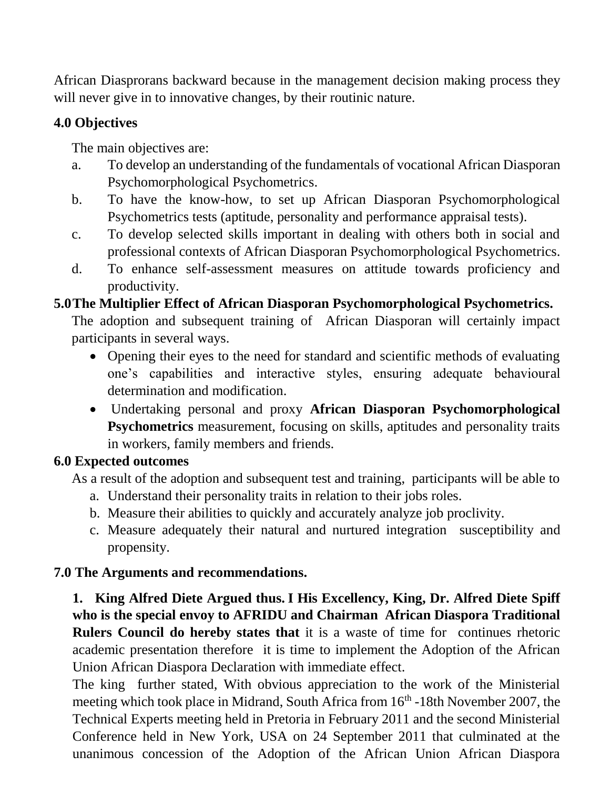African Diasprorans backward because in the management decision making process they will never give in to innovative changes, by their routinic nature.

### **4.0 Objectives**

The main objectives are:

- a. To develop an understanding of the fundamentals of vocational African Diasporan Psychomorphological Psychometrics.
- b. To have the know-how, to set up African Diasporan Psychomorphological Psychometrics tests (aptitude, personality and performance appraisal tests).
- c. To develop selected skills important in dealing with others both in social and professional contexts of African Diasporan Psychomorphological Psychometrics.
- d. To enhance self-assessment measures on attitude towards proficiency and productivity.

### **5.0The Multiplier Effect of African Diasporan Psychomorphological Psychometrics.**

The adoption and subsequent training of African Diasporan will certainly impact participants in several ways.

- Opening their eyes to the need for standard and scientific methods of evaluating one's capabilities and interactive styles, ensuring adequate behavioural determination and modification.
- Undertaking personal and proxy **African Diasporan Psychomorphological Psychometrics** measurement, focusing on skills, aptitudes and personality traits in workers, family members and friends.

### **6.0 Expected outcomes**

As a result of the adoption and subsequent test and training, participants will be able to

- a. Understand their personality traits in relation to their jobs roles.
- b. Measure their abilities to quickly and accurately analyze job proclivity.
- c. Measure adequately their natural and nurtured integration susceptibility and propensity.

### **7.0 The Arguments and recommendations.**

**1. King Alfred Diete Argued thus. I His Excellency, King, Dr. Alfred Diete Spiff who is the special envoy to AFRIDU and Chairman African Diaspora Traditional Rulers Council do hereby states that** it is a waste of time for continues rhetoric academic presentation therefore it is time to implement the Adoption of the African Union African Diaspora Declaration with immediate effect.

The king further stated, With obvious appreciation to the work of the Ministerial meeting which took place in Midrand, South Africa from 16<sup>th</sup> -18th November 2007, the Technical Experts meeting held in Pretoria in February 2011 and the second Ministerial Conference held in New York, USA on 24 September 2011 that culminated at the unanimous concession of the Adoption of the African Union African Diaspora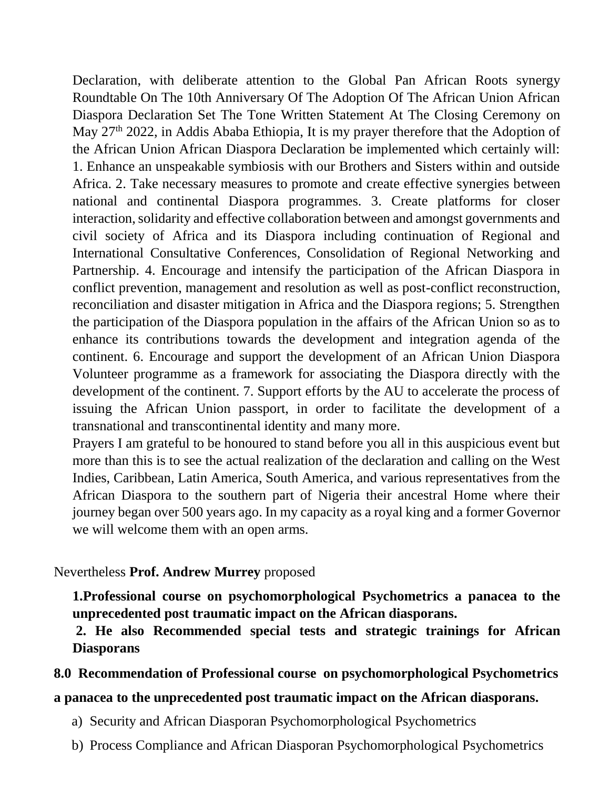Declaration, with deliberate attention to the Global Pan African Roots synergy Roundtable On The 10th Anniversary Of The Adoption Of The African Union African Diaspora Declaration Set The Tone Written Statement At The Closing Ceremony on May 27<sup>th</sup> 2022, in Addis Ababa Ethiopia, It is my prayer therefore that the Adoption of the African Union African Diaspora Declaration be implemented which certainly will: 1. Enhance an unspeakable symbiosis with our Brothers and Sisters within and outside Africa. 2. Take necessary measures to promote and create effective synergies between national and continental Diaspora programmes. 3. Create platforms for closer interaction, solidarity and effective collaboration between and amongst governments and civil society of Africa and its Diaspora including continuation of Regional and International Consultative Conferences, Consolidation of Regional Networking and Partnership. 4. Encourage and intensify the participation of the African Diaspora in conflict prevention, management and resolution as well as post-conflict reconstruction, reconciliation and disaster mitigation in Africa and the Diaspora regions; 5. Strengthen the participation of the Diaspora population in the affairs of the African Union so as to enhance its contributions towards the development and integration agenda of the continent. 6. Encourage and support the development of an African Union Diaspora Volunteer programme as a framework for associating the Diaspora directly with the development of the continent. 7. Support efforts by the AU to accelerate the process of issuing the African Union passport, in order to facilitate the development of a transnational and transcontinental identity and many more.

Prayers I am grateful to be honoured to stand before you all in this auspicious event but more than this is to see the actual realization of the declaration and calling on the West Indies, Caribbean, Latin America, South America, and various representatives from the African Diaspora to the southern part of Nigeria their ancestral Home where their journey began over 500 years ago. In my capacity as a royal king and a former Governor we will welcome them with an open arms.

#### Nevertheless **Prof. Andrew Murrey** proposed

**1.Professional course on psychomorphological Psychometrics a panacea to the unprecedented post traumatic impact on the African diasporans.**

**2. He also Recommended special tests and strategic trainings for African Diasporans**

#### **8.0 Recommendation of Professional course on psychomorphological Psychometrics**

#### **a panacea to the unprecedented post traumatic impact on the African diasporans.**

- a) Security and African Diasporan Psychomorphological Psychometrics
- b) Process Compliance and African Diasporan Psychomorphological Psychometrics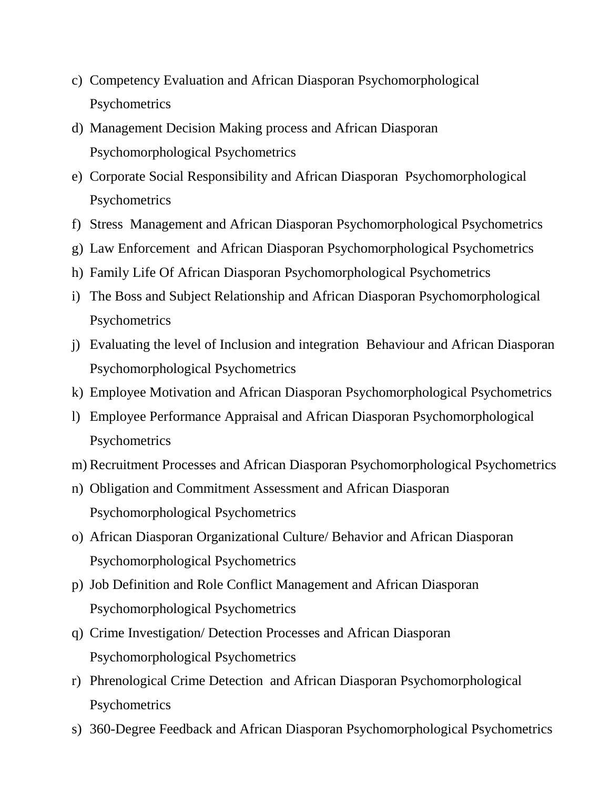- c) Competency Evaluation and African Diasporan Psychomorphological **Psychometrics**
- d) Management Decision Making process and African Diasporan Psychomorphological Psychometrics
- e) Corporate Social Responsibility and African Diasporan Psychomorphological **Psychometrics**
- f) Stress Management and African Diasporan Psychomorphological Psychometrics
- g) Law Enforcement and African Diasporan Psychomorphological Psychometrics
- h) Family Life Of African Diasporan Psychomorphological Psychometrics
- i) The Boss and Subject Relationship and African Diasporan Psychomorphological **Psychometrics**
- j) Evaluating the level of Inclusion and integration Behaviour and African Diasporan Psychomorphological Psychometrics
- k) Employee Motivation and African Diasporan Psychomorphological Psychometrics
- l) Employee Performance Appraisal and African Diasporan Psychomorphological **Psychometrics**
- m) Recruitment Processes and African Diasporan Psychomorphological Psychometrics
- n) Obligation and Commitment Assessment and African Diasporan Psychomorphological Psychometrics
- o) African Diasporan Organizational Culture/ Behavior and African Diasporan Psychomorphological Psychometrics
- p) Job Definition and Role Conflict Management and African Diasporan Psychomorphological Psychometrics
- q) Crime Investigation/ Detection Processes and African Diasporan Psychomorphological Psychometrics
- r) Phrenological Crime Detection and African Diasporan Psychomorphological Psychometrics
- s) 360-Degree Feedback and African Diasporan Psychomorphological Psychometrics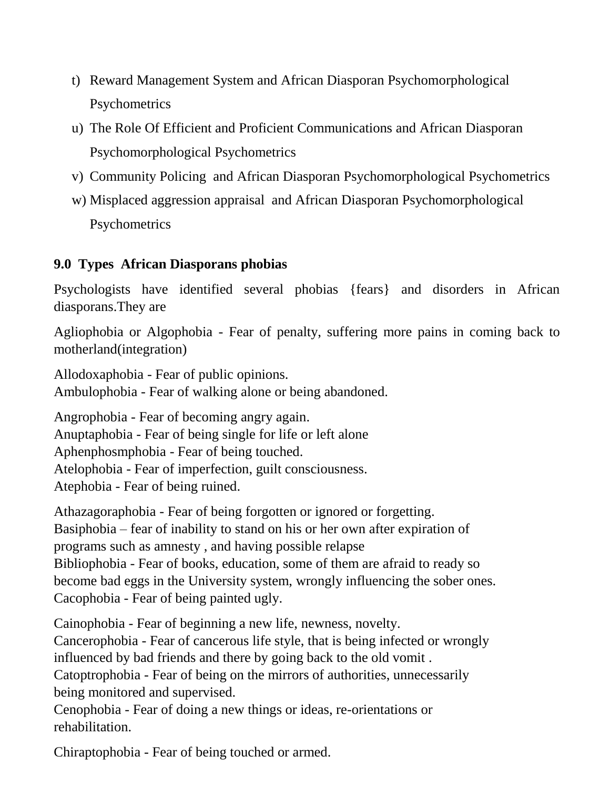- t) Reward Management System and African Diasporan Psychomorphological **Psychometrics**
- u) The Role Of Efficient and Proficient Communications and African Diasporan Psychomorphological Psychometrics
- v) Community Policing and African Diasporan Psychomorphological Psychometrics
- w) Misplaced aggression appraisal and African Diasporan Psychomorphological **Psychometrics**

# **9.0 Types African Diasporans phobias**

Psychologists have identified several phobias {fears} and disorders in African diasporans.They are

Agliophobia or Algophobia - Fear of penalty, suffering more pains in coming back to motherland(integration)

Allodoxaphobia - Fear of public opinions. Ambulophobia - Fear of walking alone or being abandoned.

Angrophobia - Fear of becoming angry again. Anuptaphobia - Fear of being single for life or left alone Aphenphosmphobia - Fear of being touched. Atelophobia - Fear of imperfection, guilt consciousness. Atephobia - Fear of being ruined.

Athazagoraphobia - Fear of being forgotten or ignored or forgetting. Basiphobia – fear of inability to stand on his or her own after expiration of programs such as amnesty , and having possible relapse Bibliophobia - Fear of books, education, some of them are afraid to ready so become bad eggs in the University system, wrongly influencing the sober ones. Cacophobia - Fear of being painted ugly.

Cainophobia - Fear of beginning a new life, newness, novelty.

Cancerophobia - Fear of cancerous life style, that is being infected or wrongly influenced by bad friends and there by going back to the old vomit .

Catoptrophobia - Fear of being on the mirrors of authorities, unnecessarily being monitored and supervised.

Cenophobia - Fear of doing a new things or ideas, re-orientations or rehabilitation.

Chiraptophobia - Fear of being touched or armed.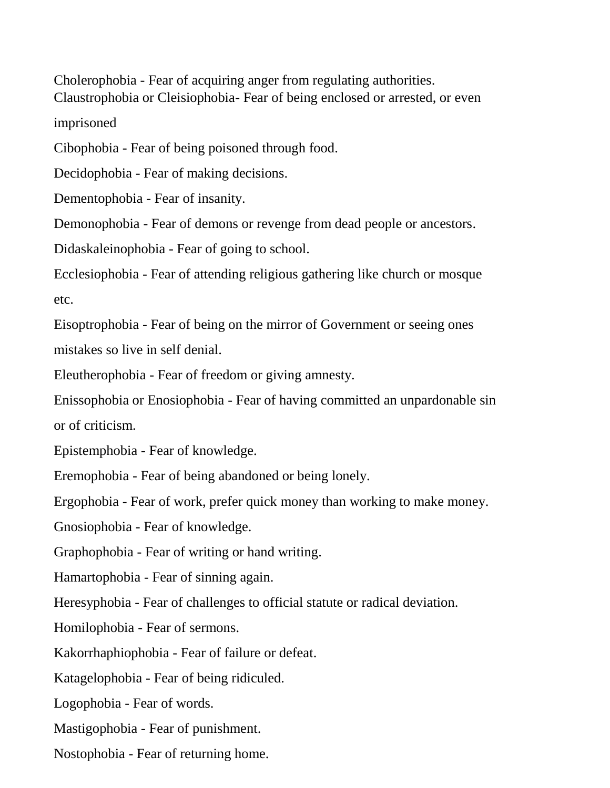Cholerophobia - Fear of acquiring anger from regulating authorities. Claustrophobia or Cleisiophobia- Fear of being enclosed or arrested, or even

imprisoned

Cibophobia - Fear of being poisoned through food.

Decidophobia - Fear of making decisions.

Dementophobia - Fear of insanity.

Demonophobia - Fear of demons or revenge from dead people or ancestors.

Didaskaleinophobia - Fear of going to school.

Ecclesiophobia - Fear of attending religious gathering like church or mosque etc.

Eisoptrophobia - Fear of being on the mirror of Government or seeing ones mistakes so live in self denial.

Eleutherophobia - Fear of freedom or giving amnesty.

Enissophobia or Enosiophobia - Fear of having committed an unpardonable sin

or of criticism.

Epistemphobia - Fear of knowledge.

Eremophobia - Fear of being abandoned or being lonely.

Ergophobia - Fear of work, prefer quick money than working to make money.

Gnosiophobia - Fear of knowledge.

Graphophobia - Fear of writing or hand writing.

Hamartophobia - Fear of sinning again.

Heresyphobia - Fear of challenges to official statute or radical deviation.

Homilophobia - Fear of sermons.

Kakorrhaphiophobia - Fear of failure or defeat.

Katagelophobia - Fear of being ridiculed.

Logophobia - Fear of words.

Mastigophobia - Fear of punishment.

Nostophobia - Fear of returning home.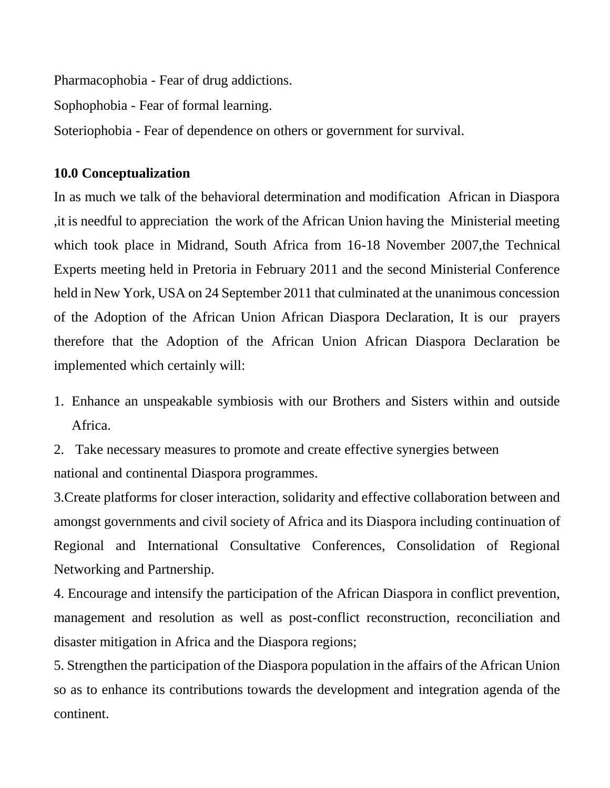Pharmacophobia - Fear of drug addictions.

Sophophobia - Fear of formal learning.

Soteriophobia - Fear of dependence on others or government for survival.

#### **10.0 Conceptualization**

In as much we talk of the behavioral determination and modification African in Diaspora ,it is needful to appreciation the work of the African Union having the Ministerial meeting which took place in Midrand, South Africa from 16-18 November 2007, the Technical Experts meeting held in Pretoria in February 2011 and the second Ministerial Conference held in New York, USA on 24 September 2011 that culminated at the unanimous concession of the Adoption of the African Union African Diaspora Declaration, It is our prayers therefore that the Adoption of the African Union African Diaspora Declaration be implemented which certainly will:

- 1. Enhance an unspeakable symbiosis with our Brothers and Sisters within and outside Africa.
- 2. Take necessary measures to promote and create effective synergies between national and continental Diaspora programmes.

3.Create platforms for closer interaction, solidarity and effective collaboration between and amongst governments and civil society of Africa and its Diaspora including continuation of Regional and International Consultative Conferences, Consolidation of Regional Networking and Partnership.

4. Encourage and intensify the participation of the African Diaspora in conflict prevention, management and resolution as well as post-conflict reconstruction, reconciliation and disaster mitigation in Africa and the Diaspora regions;

5. Strengthen the participation of the Diaspora population in the affairs of the African Union so as to enhance its contributions towards the development and integration agenda of the continent.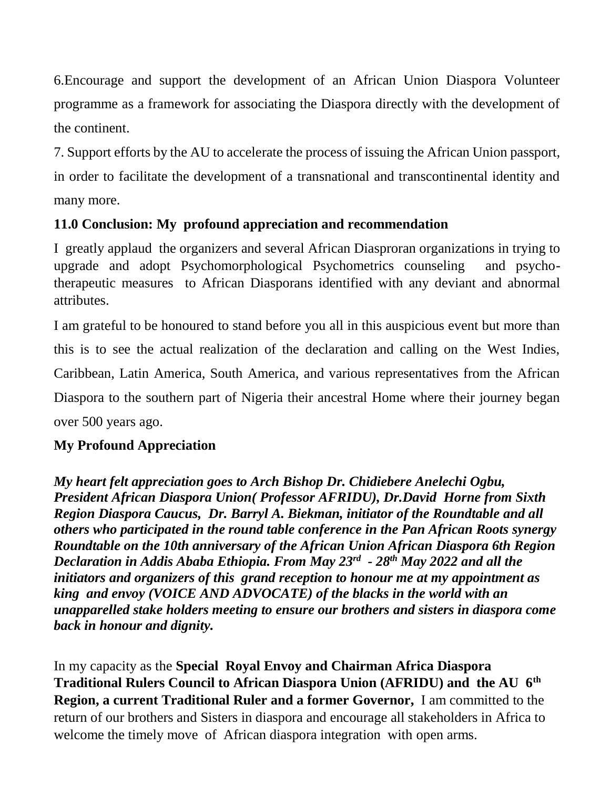6.Encourage and support the development of an African Union Diaspora Volunteer programme as a framework for associating the Diaspora directly with the development of the continent.

7. Support efforts by the AU to accelerate the process of issuing the African Union passport, in order to facilitate the development of a transnational and transcontinental identity and many more.

# **11.0 Conclusion: My profound appreciation and recommendation**

I greatly applaud the organizers and several African Diasproran organizations in trying to upgrade and adopt Psychomorphological Psychometrics counseling and psychotherapeutic measures to African Diasporans identified with any deviant and abnormal attributes.

I am grateful to be honoured to stand before you all in this auspicious event but more than this is to see the actual realization of the declaration and calling on the West Indies, Caribbean, Latin America, South America, and various representatives from the African Diaspora to the southern part of Nigeria their ancestral Home where their journey began over 500 years ago.

### **My Profound Appreciation**

*My heart felt appreciation goes to Arch Bishop Dr. Chidiebere Anelechi Ogbu, President African Diaspora Union( Professor AFRIDU), Dr.David Horne from Sixth Region Diaspora Caucus, Dr. Barryl A. Biekman, initiator of the Roundtable and all others who participated in the round table conference in the Pan African Roots synergy Roundtable on the 10th anniversary of the African Union African Diaspora 6th Region Declaration in Addis Ababa Ethiopia. From May 23rd - 28th May 2022 and all the initiators and organizers of this grand reception to honour me at my appointment as king and envoy (VOICE AND ADVOCATE) of the blacks in the world with an unapparelled stake holders meeting to ensure our brothers and sisters in diaspora come back in honour and dignity.*

In my capacity as the **Special Royal Envoy and Chairman Africa Diaspora Traditional Rulers Council to African Diaspora Union (AFRIDU) and the AU 6th Region, a current Traditional Ruler and a former Governor,** I am committed to the return of our brothers and Sisters in diaspora and encourage all stakeholders in Africa to welcome the timely move of African diaspora integration with open arms.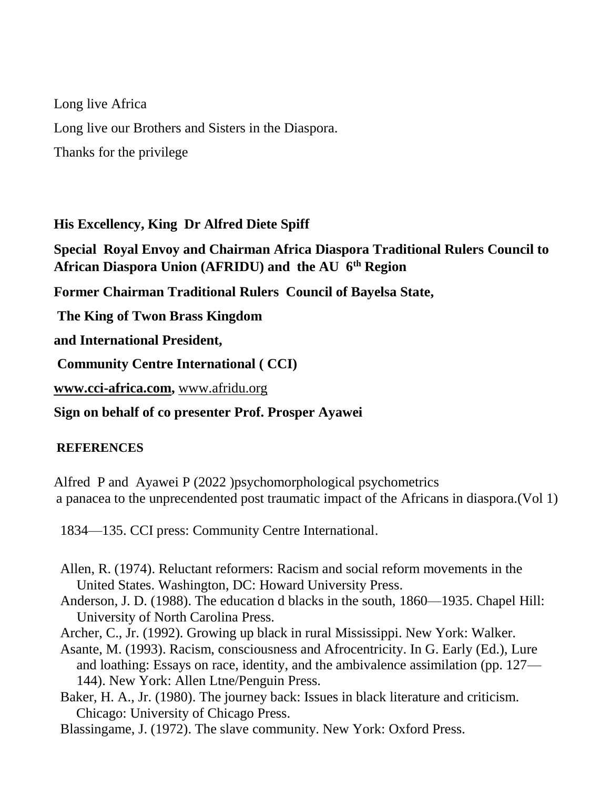Long live Africa Long live our Brothers and Sisters in the Diaspora. Thanks for the privilege

**His Excellency, King Dr Alfred Diete Spiff**

**Special Royal Envoy and Chairman Africa Diaspora Traditional Rulers Council to African Diaspora Union (AFRIDU) and the AU 6th Region**

**Former Chairman Traditional Rulers Council of Bayelsa State,**

**The King of Twon Brass Kingdom** 

**and International President,**

**Community Centre International ( CCI)**

**[www.cci-africa.com,](http://www.cci-africa.com/)** [www.afridu.org](http://www.afridu.org/)

**Sign on behalf of co presenter Prof. Prosper Ayawei**

#### **REFERENCES**

Alfred P and Ayawei P (2022 )psychomorphological psychometrics a panacea to the unprecendented post traumatic impact of the Africans in diaspora.(Vol 1)

1834—135. CCI press: Community Centre International.

- Allen, R. (1974). Reluctant reformers: Racism and social reform movements in the United States. Washington, DC: Howard University Press.
- Anderson, J. D. (1988). The education d blacks in the south, 1860—1935. Chapel Hill: University of North Carolina Press.
- Archer, C., Jr. (1992). Growing up black in rural Mississippi. New York: Walker.
- Asante, M. (1993). Racism, consciousness and Afrocentricity. In G. Early (Ed.), Lure and loathing: Essays on race, identity, and the ambivalence assimilation (pp. 127— 144). New York: Allen Ltne/Penguin Press.
- Baker, H. A., Jr. (1980). The journey back: Issues in black literature and criticism. Chicago: University of Chicago Press.
- Blassingame, J. (1972). The slave community. New York: Oxford Press.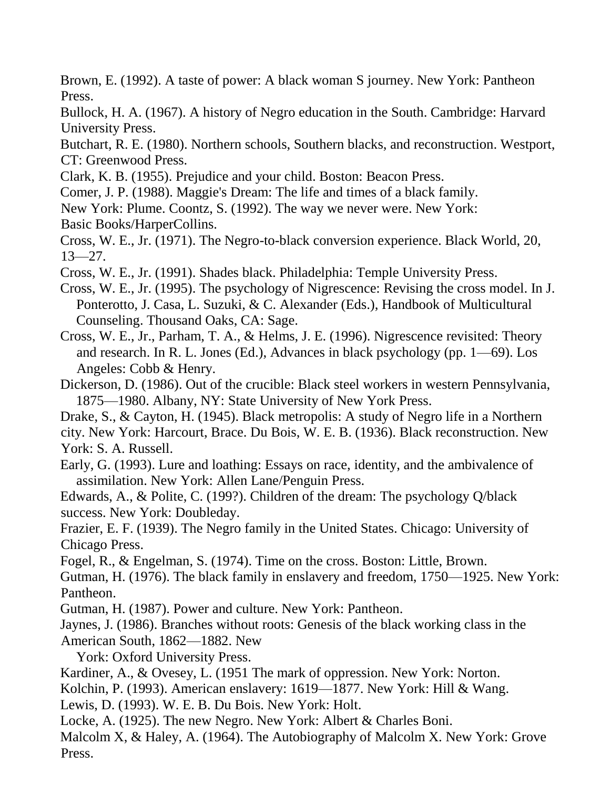Brown, E. (1992). A taste of power: A black woman S journey. New York: Pantheon Press.

Bullock, H. A. (1967). A history of Negro education in the South. Cambridge: Harvard University Press.

Butchart, R. E. (1980). Northern schools, Southern blacks, and reconstruction. Westport, CT: Greenwood Press.

Clark, K. B. (1955). Prejudice and your child. Boston: Beacon Press.

Comer, J. P. (1988). Maggie's Dream: The life and times of a black family.

New York: Plume. Coontz, S. (1992). The way we never were. New York: Basic Books/HarperCollins.

Cross, W. E., Jr. (1971). The Negro-to-black conversion experience. Black World, 20,  $13 - 27$ .

Cross, W. E., Jr. (1991). Shades black. Philadelphia: Temple University Press.

Cross, W. E., Jr. (1995). The psychology of Nigrescence: Revising the cross model. In J. Ponterotto, J. Casa, L. Suzuki, & C. Alexander (Eds.), Handbook of Multicultural Counseling. Thousand Oaks, CA: Sage.

Cross, W. E., Jr., Parham, T. A., & Helms, J. E. (1996). Nigrescence revisited: Theory and research. In R. L. Jones (Ed.), Advances in black psychology (pp. 1—69). Los Angeles: Cobb & Henry.

Dickerson, D. (1986). Out of the crucible: Black steel workers in western Pennsylvania, 1875—1980. Albany, NY: State University of New York Press.

Drake, S., & Cayton, H. (1945). Black metropolis: A study of Negro life in a Northern

city. New York: Harcourt, Brace. Du Bois, W. E. B. (1936). Black reconstruction. New York: S. A. Russell.

Early, G. (1993). Lure and loathing: Essays on race, identity, and the ambivalence of assimilation. New York: Allen Lane/Penguin Press.

Edwards, A., & Polite, C. (199?). Children of the dream: The psychology Q/black success. New York: Doubleday.

Frazier, E. F. (1939). The Negro family in the United States. Chicago: University of Chicago Press.

Fogel, R., & Engelman, S. (1974). Time on the cross. Boston: Little, Brown.

Gutman, H. (1976). The black family in enslavery and freedom, 1750—1925. New York: Pantheon.

Gutman, H. (1987). Power and culture. New York: Pantheon.

Jaynes, J. (1986). Branches without roots: Genesis of the black working class in the American South, 1862—1882. New

York: Oxford University Press.

Kardiner, A., & Ovesey, L. (1951 The mark of oppression. New York: Norton.

Kolchin, P. (1993). American enslavery: 1619—1877. New York: Hill & Wang.

Lewis, D. (1993). W. E. B. Du Bois. New York: Holt.

Locke, A. (1925). The new Negro. New York: Albert & Charles Boni.

Malcolm X, & Haley, A. (1964). The Autobiography of Malcolm X. New York: Grove Press.